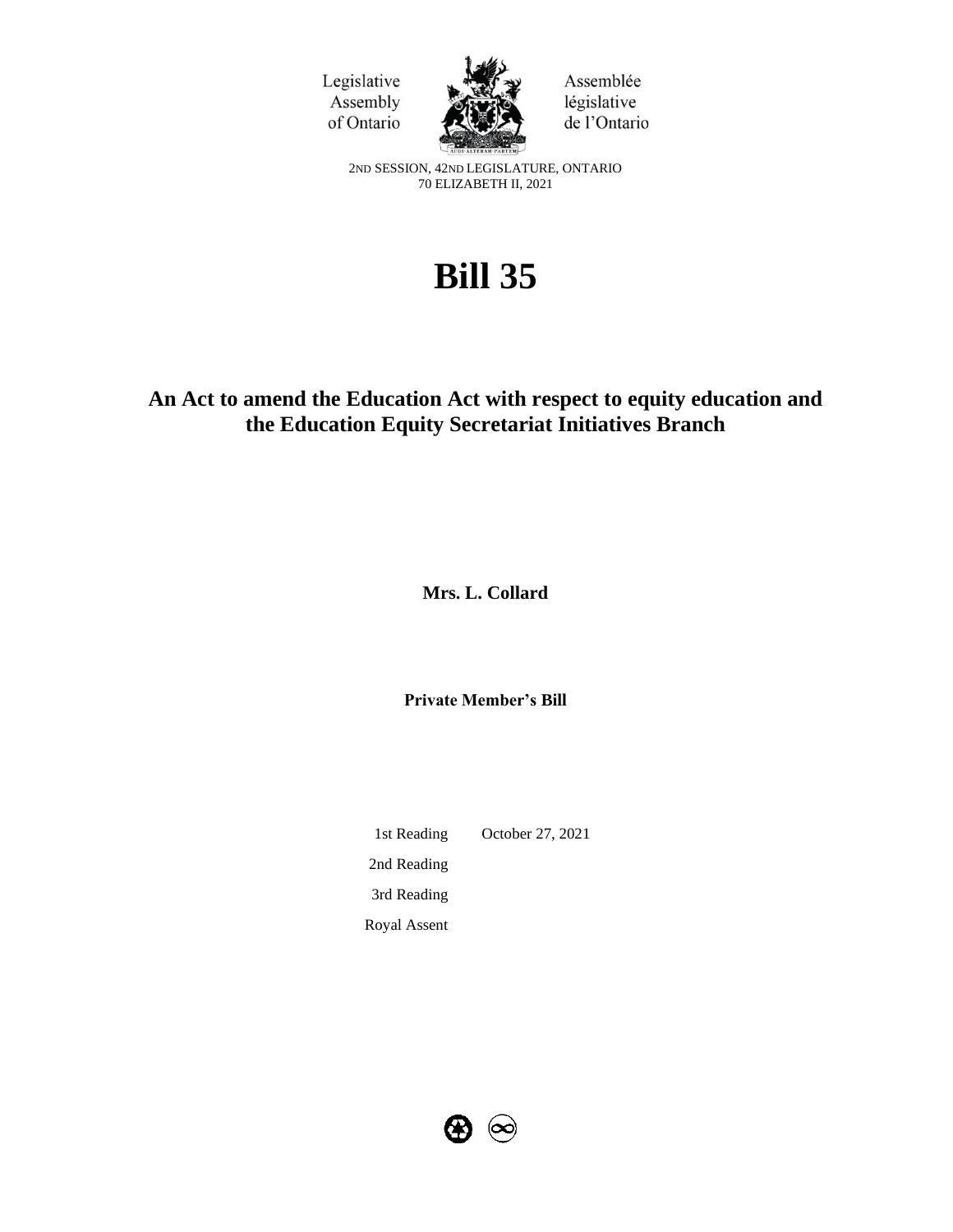



Assemblée législative de l'Ontario

2ND SESSION, 42ND LEGISLATURE, ONTARIO 70 ELIZABETH II, 2021

# **Bill 35**

# **An Act to amend the Education Act with respect to equity education and the Education Equity Secretariat Initiatives Branch**

**Mrs. L. Collard**

**Private Member's Bill**

1st Reading October 27, 2021 2nd Reading 3rd Reading Royal Assent

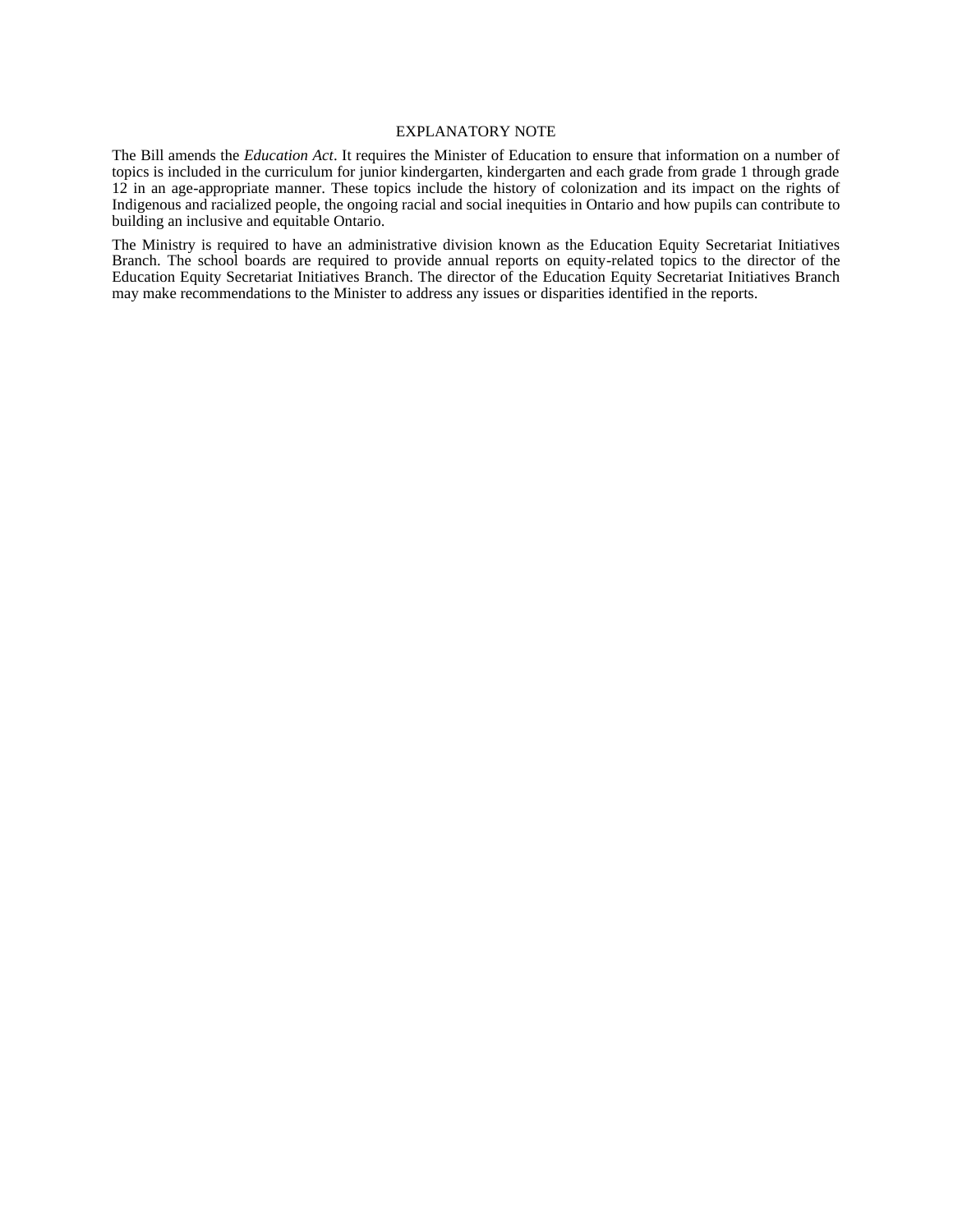#### EXPLANATORY NOTE

The Bill amends the *Education Act*. It requires the Minister of Education to ensure that information on a number of topics is included in the curriculum for junior kindergarten, kindergarten and each grade from grade 1 through grade 12 in an age-appropriate manner. These topics include the history of colonization and its impact on the rights of Indigenous and racialized people, the ongoing racial and social inequities in Ontario and how pupils can contribute to building an inclusive and equitable Ontario.

The Ministry is required to have an administrative division known as the Education Equity Secretariat Initiatives Branch. The school boards are required to provide annual reports on equity-related topics to the director of the Education Equity Secretariat Initiatives Branch. The director of the Education Equity Secretariat Initiatives Branch may make recommendations to the Minister to address any issues or disparities identified in the reports.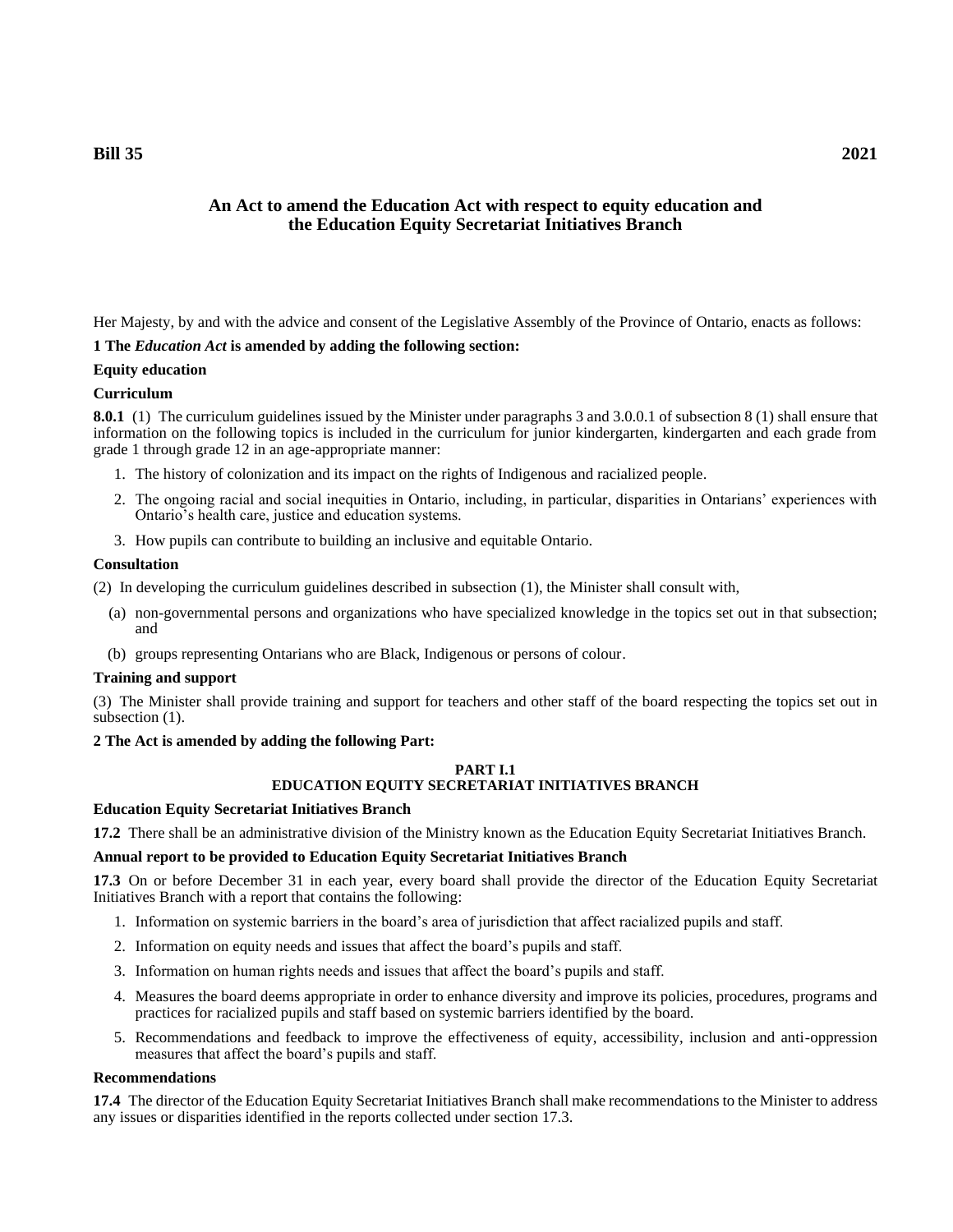# **An Act to amend the Education Act with respect to equity education and the Education Equity Secretariat Initiatives Branch**

Her Majesty, by and with the advice and consent of the Legislative Assembly of the Province of Ontario, enacts as follows:

# **1 The** *Education Act* **is amended by adding the following section:**

# **Equity education**

# **Curriculum**

**8.0.1** (1) The curriculum guidelines issued by the Minister under paragraphs 3 and 3.0.0.1 of subsection 8 (1) shall ensure that information on the following topics is included in the curriculum for junior kindergarten, kindergarten and each grade from grade 1 through grade 12 in an age-appropriate manner:

- 1. The history of colonization and its impact on the rights of Indigenous and racialized people.
- 2. The ongoing racial and social inequities in Ontario, including, in particular, disparities in Ontarians' experiences with Ontario's health care, justice and education systems.
- 3. How pupils can contribute to building an inclusive and equitable Ontario.

# **Consultation**

(2) In developing the curriculum guidelines described in subsection (1), the Minister shall consult with,

- (a) non-governmental persons and organizations who have specialized knowledge in the topics set out in that subsection; and
- (b) groups representing Ontarians who are Black, Indigenous or persons of colour.

## **Training and support**

(3) The Minister shall provide training and support for teachers and other staff of the board respecting the topics set out in subsection  $(1)$ .

## **2 The Act is amended by adding the following Part:**

#### **PART I.1 EDUCATION EQUITY SECRETARIAT INITIATIVES BRANCH**

## **Education Equity Secretariat Initiatives Branch**

**17.2** There shall be an administrative division of the Ministry known as the Education Equity Secretariat Initiatives Branch.

## **Annual report to be provided to Education Equity Secretariat Initiatives Branch**

**17.3** On or before December 31 in each year, every board shall provide the director of the Education Equity Secretariat Initiatives Branch with a report that contains the following:

- 1. Information on systemic barriers in the board's area of jurisdiction that affect racialized pupils and staff.
- 2. Information on equity needs and issues that affect the board's pupils and staff.
- 3. Information on human rights needs and issues that affect the board's pupils and staff.
- 4. Measures the board deems appropriate in order to enhance diversity and improve its policies, procedures, programs and practices for racialized pupils and staff based on systemic barriers identified by the board.
- 5. Recommendations and feedback to improve the effectiveness of equity, accessibility, inclusion and anti-oppression measures that affect the board's pupils and staff.

## **Recommendations**

**17.4** The director of the Education Equity Secretariat Initiatives Branch shall make recommendations to the Minister to address any issues or disparities identified in the reports collected under section 17.3.